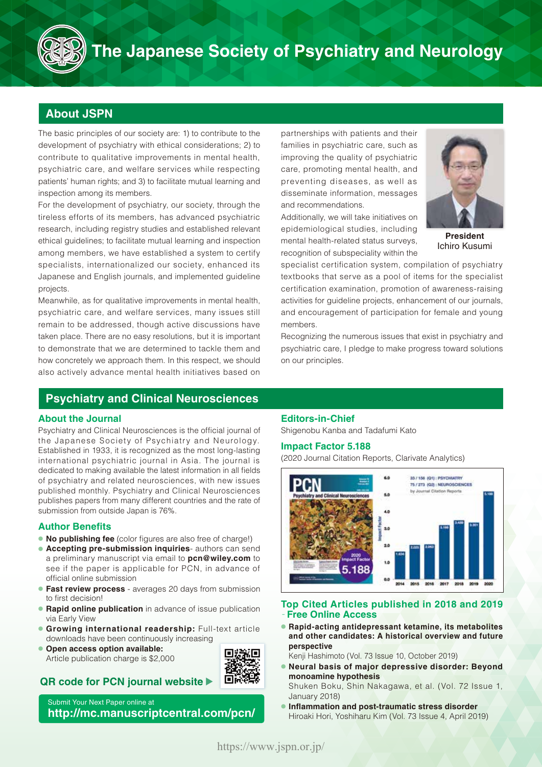

# **About JSPN**

The basic principles of our society are: 1) to contribute to the development of psychiatry with ethical considerations; 2) to contribute to qualitative improvements in mental health, psychiatric care, and welfare services while respecting patients' human rights; and 3) to facilitate mutual learning and inspection among its members.

For the development of psychiatry, our society, through the tireless efforts of its members, has advanced psychiatric research, including registry studies and established relevant ethical guidelines; to facilitate mutual learning and inspection among members, we have established a system to certify specialists, internationalized our society, enhanced its Japanese and English journals, and implemented quideline .projects

Meanwhile, as for qualitative improvements in mental health, psychiatric care, and welfare services, many issues still remain to be addressed, though active discussions have taken place. There are no easy resolutions, but it is important to demonstrate that we are determined to tackle them and how concretely we approach them. In this respect, we should also actively advance mental health initiatives based on

partnerships with patients and their families in psychiatric care, such as improving the quality of psychiatric care, promoting mental health, and preventing diseases, as well as disseminate information, messages and recommendations.

Additionally, we will take initiatives on epidemiological studies, including mental health-related status surveys, recognition of subspeciality within the



**President** Ichiro Kusumi

specialist certification system, compilation of psychiatry textbooks that serve as a pool of items for the specialist certification examination, promotion of awareness-raising activities for guideline projects, enhancement of our journals, and encouragement of participation for female and young members.

Recognizing the numerous issues that exist in psychiatry and psychiatric care. I pledge to make progress toward solutions on our principles.

# **Psychiatry and Clinical Neurosciences**

#### **About the Journal**

Psychiatry and Clinical Neurosciences is the official journal of the Japanese Society of Psychiatry and Neurology. Established in 1933, it is recognized as the most long-lasting international psychiatric journal in Asia. The journal is dedicated to making available the latest information in all fields of psychiatry and related neurosciences, with new issues published monthly. Psychiatry and Clinical Neurosciences publishes papers from many different countries and the rate of submission from outside Japan is 76%.

#### **Author Benefits**

- **No publishing fee** (color figures are also free of charge!)
- **Accepting pre-submission inquiries** authors can send a preliminary manuscript via email to **pcn@wiley.com** to see if the paper is applicable for PCN, in advance of official online submission
- **Fast review process** averages 20 days from submission to first decision!
- **Rapid online publication** in advance of issue publication via Early View
- **Growing international readership:** Full-text article downloads have been continuously increasing
- **· Open access option available:** Article publication charge is \$2,000



## QR code for PCN journal website  $\blacktriangleright$

Submit Your Next Paper online at http://mc.manuscriptcentral.com/pcn/

#### **Editors-in-Chief**

Shigenobu Kanba and Tadafumi Kato

#### **Impact Factor 5.188**

(2020 Journal Citation Reports, Clarivate Analytics)



#### **Top Cited Articles published in 2018 and 2019 - Free Online Access**

**• Rapid-acting antidepressant ketamine, its metabolites** and other candidates: A historical overview and future **perspective**

Kenji Hashimoto (Vol. 73 Issue 10, October 2019)

Neural basis of major depressive disorder: Beyond **hypothesis monoamine**

Shuken Boku, Shin Nakagawa, et al. (Vol. 72 Issue 1, January 2018)

**Inflammation and post-traumatic stress disorder** Hiroaki Hori, Yoshiharu Kim (Vol. 73 Issue 4, April 2019)